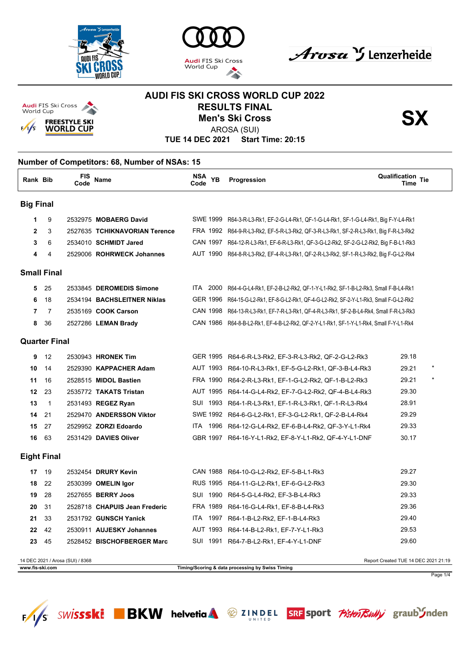







## **AUDI FIS SKI CROSS WORLD CUP 2022** RESULTS FINAL<br>Men's Ski Cross<br>AROSA (SHI) **Men's Ski Cross**



AROSA (SUI)

**TUE 14 DEC 2021 Start Time: 20:15**

### **Number of Competitors: 68, Number of NSAs: 15 Rank Bib FIS Code Name NSA Code YB Qualification Time Progression Tie Big Final 1** 9 2532975 **MOBAERG David** SWE 1999 R64-3-R-L3-Rk1, EF-2-G-L4-Rk1, QF-1-G-L4-Rk1, SF-1-G-L4-Rk1, Big F-Y-L4-Rk1 **2** 3 2527635 **TCHIKNAVORIAN Terence** FRA 1992 R64-9-R-L3-Rk2, EF-5-R-L3-Rk2, QF-3-R-L3-Rk1, SF-2-R-L3-Rk1, Big F-R-L3-Rk2 **3** 6 2534010 **SCHMIDT Jared** CAN 1997 R64-12-R-L3-Rk1, EF-6-R-L3-Rk1, QF-3-G-L2-Rk2, SF-2-G-L2-Rk2, Big F-B-L1-Rk3 **4** 4 2529006 **ROHRWECK Johannes** AUT 1990 R64-8-R-L3-Rk2, EF-4-R-L3-Rk1, QF-2-R-L3-Rk2, SF-1-R-L3-Rk2, Big F-G-L2-Rk4 **Small Final 5** 25 2533845 **DEROMEDIS Simone** ITA 2000 R64-4-G-L4-Rk1, EF-2-B-L2-Rk2, QF-1-Y-L1-Rk2, SF-1-B-L2-Rk3, Small F-B-L4-Rk1 **6** 18 2534194 **BACHSLEITNER Niklas** GER 1996 R64-15-G-L2-Rk1, EF-8-G-L2-Rk1, QF-4-G-L2-Rk2, SF-2-Y-L1-Rk3, Small F-G-L2-Rk2 **7** 7 2535169 **COOK Carson** CAN 1998 R64-13-R-L3-Rk1, EF-7-R-L3-Rk1, QF-4-R-L3-Rk1, SF-2-B-L4-Rk4, Small F-R-L3-Rk3 **8** 36 2527286 **LEMAN Brady** CAN 1986 R64-8-B-L2-Rk1, EF-4-B-L2-Rk2, QF-2-Y-L1-Rk1, SF-1-Y-L1-Rk4, Small F-Y-L1-Rk4 **Quarter Final 9** 12 2530943 **HRONEK Tim** GER 1995 R64-6-R-L3-Rk2, EF-3-R-L3-Rk2, QF-2-G-L2-Rk3 29.18 **10** 14 2529390 **KAPPACHER Adam** AUT 1993 R64-10-R-L3-Rk1, EF-5-G-L2-Rk1, QF-3-B-L4-Rk3 29.21 \* **11** 16 2528515 **MIDOL Bastien** FRA 1990 R64-2-R-L3-Rk1, EF-1-G-L2-Rk2, QF-1-B-L2-Rk3 29.21 \* **12** 23 2535772 **TAKATS Tristan** AUT 1995 R64-14-G-L4-Rk2, EF-7-G-L2-Rk2, QF-4-B-L4-Rk3 29.30 **13** 1 2531493 **REGEZ Ryan** SUI 1993 R64-1-R-L3-Rk1, EF-1-R-L3-Rk1, QF-1-R-L3-Rk4 28.91 **14** 21 2529470 **ANDERSSON Viktor** SWE 1992 R64-6-G-L2-Rk1, EF-3-G-L2-Rk1, QF-2-B-L4-Rk4 29.29 **15** 27 2529952 **ZORZI Edoardo** ITA 1996 R64-12-G-L4-Rk2, EF-6-B-L4-Rk2, QF-3-Y-L1-Rk4 29.33 **16** 63 2531429 **DAVIES Oliver** GBR 1997 R64-16-Y-L1-Rk2, EF-8-Y-L1-Rk2, QF-4-Y-L1-DNF 30.17 **Eight Final 17** 19 2532454 **DRURY Kevin** CAN 1988 R64-10-G-L2-Rk2, EF-5-B-L1-Rk3 29.27 **18** 22 2530399 **OMELIN Igor** RUS 1995 R64-11-G-L2-Rk1, EF-6-G-L2-Rk3 29.30 **19** 28 2527655 **BERRY Joos** SUI 1990 R64-5-G-L4-Rk2, EF-3-B-L4-Rk3 29.33 **20** 31 2528718 **CHAPUIS Jean Frederic** FRA 1989 R64-16-G-L4-Rk1, EF-8-B-L4-Rk3 29.36 **21** 33 2531792 **GUNSCH Yanick** ITA 1997 R64-1-B-L2-Rk2, EF-1-B-L4-Rk3 29.40 **22** 42 2530911 **AUJESKY Johannes** AUT 1993 R64-14-B-L2-Rk1, EF-7-Y-L1-Rk3 29.53 **23** 45 2528452 **BISCHOFBERGER Marc** SUI 1991 R64-7-B-L2-Rk1, EF-4-Y-L1-DNF 29.60 14 DEC 2021 / Arosa (SUI) / 8368 Report Created TUE 14 DEC 2021 21:19 **www.fis-ski.com Timing/Scoring & data processing by Swiss Timing** Page 1/4



SRF sport *Pisten Rully* graub Inden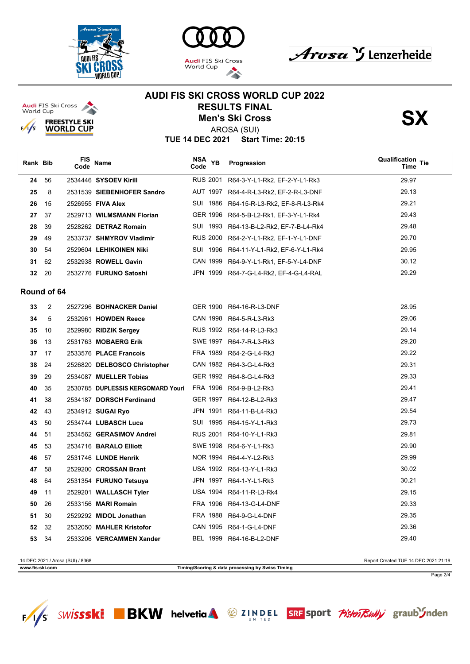

**Audi** FIS Ski Cross<br>World Cup

 $\frac{1}{s}$ 

**FREESTYLE SKI** 

**WORLD CUP** 





**AUDI FIS SKI CROSS WORLD CUP 2022 RESULTS FINAL<br>Men's Ski Cross<br>APOSA (SHI)** 



AROSA (SUI)

**TUE 14 DEC 2021 Start Time: 20:15**

| Rank Bib |             | FIS<br>Code | <b>Name</b>                       | NSA<br><b>YB</b><br>Code | Progression                             | <b>Qualification Tie</b><br>Time |
|----------|-------------|-------------|-----------------------------------|--------------------------|-----------------------------------------|----------------------------------|
| 24       | 56          |             | 2534446 SYSOEV Kirill             | <b>RUS 2001</b>          | R64-3-Y-L1-Rk2, EF-2-Y-L1-Rk3           | 29.97                            |
| 25       | 8           |             | 2531539 SIEBENHOFER Sandro        | AUT 1997                 | R64-4-R-L3-Rk2, EF-2-R-L3-DNF           | 29.13                            |
| 26       | 15          |             | 2526955 FIVA Alex                 |                          | SUI 1986 R64-15-R-L3-Rk2, EF-8-R-L3-Rk4 | 29.21                            |
| 27       | 37          |             | 2529713 WILMSMANN Florian         |                          | GER 1996 R64-5-B-L2-Rk1, EF-3-Y-L1-Rk4  | 29.43                            |
| 28       | 39          |             | 2528262 DETRAZ Romain             |                          | SUI 1993 R64-13-B-L2-Rk2, EF-7-B-L4-Rk4 | 29.48                            |
| 29       | 49          |             | 2533737 SHMYROV Vladimir          |                          | RUS 2000 R64-2-Y-L1-Rk2, EF-1-Y-L1-DNF  | 29.70                            |
| 30       | 54          |             | 2529604 LEHIKOINEN Niki           |                          | SUI 1996 R64-11-Y-L1-Rk2, EF-6-Y-L1-Rk4 | 29.95                            |
| 31       | 62          |             | 2532938 ROWELL Gavin              |                          | CAN 1999 R64-9-Y-L1-Rk1, EF-5-Y-L4-DNF  | 30.12                            |
| 32       | 20          |             | 2532776 FURUNO Satoshi            |                          | JPN 1999 R64-7-G-L4-Rk2, EF-4-G-L4-RAL  | 29.29                            |
|          | Round of 64 |             |                                   |                          |                                         |                                  |
| 33       | 2           |             | 2527296 BOHNACKER Daniel          |                          | GER 1990 R64-16-R-L3-DNF                | 28.95                            |
| 34       | 5           |             | 2532961 HOWDEN Reece              |                          | CAN 1998 R64-5-R-L3-Rk3                 | 29.06                            |
| 35       | 10          |             | 2529980 RIDZIK Sergey             |                          | RUS 1992 R64-14-R-L3-Rk3                | 29.14                            |
| 36       | 13          |             | 2531763 MOBAERG Erik              |                          | SWE 1997 R64-7-R-L3-Rk3                 | 29.20                            |
| 37       | 17          |             | 2533576 PLACE Francois            |                          | FRA 1989 R64-2-G-L4-Rk3                 | 29.22                            |
| 38       | 24          |             | 2526820 DELBOSCO Christopher      |                          | CAN 1982 R64-3-G-L4-Rk3                 | 29.31                            |
| 39       | 29          |             | 2534087 MUELLER Tobias            |                          | GER 1992 R64-8-G-L4-Rk3                 | 29.33                            |
| 40       | 35          |             | 2530785 DUPLESSIS KERGOMARD Youri |                          | FRA 1996 R64-9-B-L2-Rk3                 | 29.41                            |
| 41       | 38          |             | 2534187 DORSCH Ferdinand          |                          | GER 1997 R64-12-B-L2-Rk3                | 29.47                            |
| 42       | 43          |             | 2534912 SUGAI Ryo                 |                          | JPN 1991 R64-11-B-L4-Rk3                | 29.54                            |
| 43       | 50          |             | 2534744 LUBASCH Luca              |                          | SUI 1995 R64-15-Y-L1-Rk3                | 29.73                            |
| 44       | 51          |             | 2534562 GERASIMOV Andrei          |                          | RUS 2001 R64-10-Y-L1-Rk3                | 29.81                            |
| 45       | 53          |             | 2534716 BARALO Elliott            |                          | SWE 1998 R64-6-Y-L1-Rk3                 | 29.90                            |
| 46       | 57          |             | 2531746 LUNDE Henrik              |                          | NOR 1994 R64-4-Y-L2-Rk3                 | 29.99                            |
| 47       | 58          |             | 2529200 CROSSAN Brant             |                          | USA 1992 R64-13-Y-L1-Rk3                | 30.02                            |
| 48       | 64          |             | 2531354 FURUNO Tetsuya            |                          | JPN 1997 R64-1-Y-L1-Rk3                 | 30.21                            |
| 49       | 11          |             | 2529201 WALLASCH Tyler            |                          | USA 1994 R64-11-R-L3-Rk4                | 29.15                            |
| 50       | 26          |             | 2533156 MARI Romain               |                          | FRA 1996 R64-13-G-L4-DNF                | 29.33                            |
| 51       | 30          |             | 2529292 MIDOL Jonathan            |                          | FRA 1988 R64-9-G-L4-DNF                 | 29.35                            |
| 52       | 32          |             | 2532050 MAHLER Kristofor          |                          | CAN 1995 R64-1-G-L4-DNF                 | 29.36                            |
| 53       | 34          |             | 2533206 VERCAMMEN Xander          |                          | BEL 1999 R64-16-B-L2-DNF                | 29.40                            |

14 DEC 2021 / Arosa (SUI) / 8368 Report Created TUE 14 DEC 2021 21:19 **www.fis-ski.com Timing/Scoring & data processing by Swiss Timing** Page 2/4

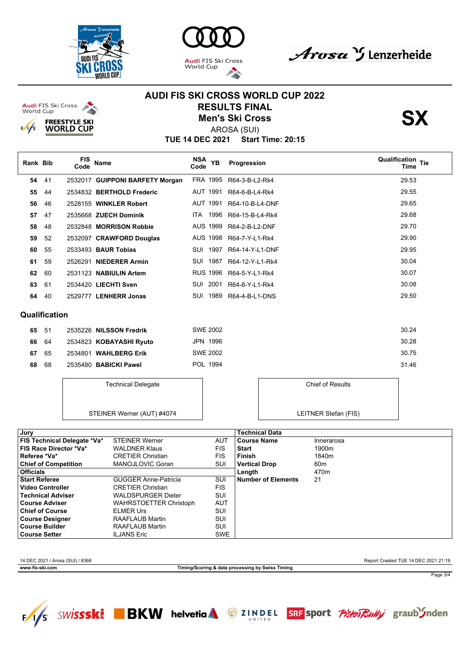





**AUDI FIS SKI CROSS WORLD CUP 2022**





**TUE 14 DEC 2021 Start Time: 20:15** AROSA (SUI)

| Rank Bib |     | <b>FIS</b><br>Code | Name                            | NSA YB<br>Code | Progression     | <b>Qualification Tie</b><br>Time |
|----------|-----|--------------------|---------------------------------|----------------|-----------------|----------------------------------|
| 54       | -41 |                    | 2532017 GUIPPONI BARFETY Morgan | FRA 1995       | R64-3-B-L2-Rk4  | 29.53                            |
| 55       | 44  |                    | 2534832 BERTHOLD Frederic       | AUT 1991       | R64-6-B-L4-Rk4  | 29.55                            |
| 56       | 46  |                    | 2528155 WINKLER Robert          | AUT 1991       | R64-10-B-L4-DNF | 29.65                            |
| 57       | 47  |                    | 2535668 ZUECH Dominik           | 1996<br>ITA I  | R64-15-B-L4-Rk4 | 29.68                            |
| 58       | 48  |                    | 2532848 MORRISON Robbie         | AUS 1999       | R64-2-B-L2-DNF  | 29.70                            |
| 59       | -52 |                    | 2532097 CRAWFORD Douglas        | AUS 1998       | R64-7-Y-L1-Rk4  | 29.90                            |
| 60       | 55  |                    | 2533493 <b>BAUR Tobias</b>      | 1997<br>SUI    | R64-14-Y-L1-DNF | 29.95                            |
| 61       | 59  |                    | 2526291 NIEDERER Armin          | 1987<br>SUI    | R64-12-Y-L1-Rk4 | 30.04                            |
| 62       | 60  |                    | 2531123 NABIULIN Artem          | RUS 1996       | R64-5-Y-L1-Rk4  | 30.07                            |
| 63       | 61  |                    | 2534420 LIECHTI Sven            | 2001<br>SUI    | R64-8-Y-L1-Rk4  | 30.08                            |
| 64       | 40  |                    | 2529777 LENHERR Jonas           | 1989<br>SUI    | R64-4-B-L1-DNS  | 29.50                            |

#### **Qualification**

| 65 51 |  | 2535226 NILSSON Fredrik | SWE 2002        | 30.24 |
|-------|--|-------------------------|-----------------|-------|
| 66 64 |  | 2534823 KOBAYASHI Ryuto | JPN 1996        | 30.28 |
| 67 65 |  | 2534801 WAHLBERG Erik   | <b>SWE 2002</b> | 30.75 |
| 68 68 |  | 2535480 BABICKI Pawel   | POL 1994        | 31.46 |

Technical Delegate

| <b>Chief of Results</b> |
|-------------------------|
|                         |
|                         |

LEITNER Stefan (FIS)

STEINER Werner (AUT) #4074

| Jury                               |                               |            | <b>Technical Data</b>     |                   |
|------------------------------------|-------------------------------|------------|---------------------------|-------------------|
| <b>FIS Technical Delegate *Va*</b> | <b>STEINER Werner</b>         | <b>AUT</b> | <b>Course Name</b>        | Innerarosa        |
| <b>FIS Race Director *Va*</b>      | <b>WALDNER Klaus</b>          | <b>FIS</b> | <b>Start</b>              | 1900 <sub>m</sub> |
| Referee *Va*                       | <b>CRETIER Christian</b>      | <b>FIS</b> | Finish                    | 1840 <sub>m</sub> |
| <b>Chief of Competition</b>        | MANOJLOVIC Goran              | SUI        | <b>Vertical Drop</b>      | 60 <sub>m</sub>   |
| <b>Officials</b>                   |                               |            | Length                    | 470m              |
| <b>Start Referee</b>               | <b>GUGGER Anne-Patricia</b>   | SUI        | <b>Number of Elements</b> | 21                |
| <b>Video Controller</b>            | <b>CRETIER Christian</b>      | <b>FIS</b> |                           |                   |
| <b>Technical Adviser</b>           | <b>WALDSPURGER Dieter</b>     | SUI        |                           |                   |
| <b>Course Adviser</b>              | <b>WAHRSTOETTER Christoph</b> | AUT        |                           |                   |
| <b>Chief of Course</b>             | <b>ELMER Urs</b>              | SUI        |                           |                   |
| <b>Course Designer</b>             | RAAFLAUB Martin               | SUI        |                           |                   |
| <b>Course Builder</b>              | RAAFLAUB Martin               | SUI        |                           |                   |
| <b>Course Setter</b>               | <b>ILJANS Eric</b>            | <b>SWE</b> |                           |                   |

14 DEC 2021 / Arosa (SUI) / 8368 Report Created TUE 14 DEC 2021 21:19

**www.fis-ski.com Timing/Scoring & data processing by Swiss Timing**

Page 3/4